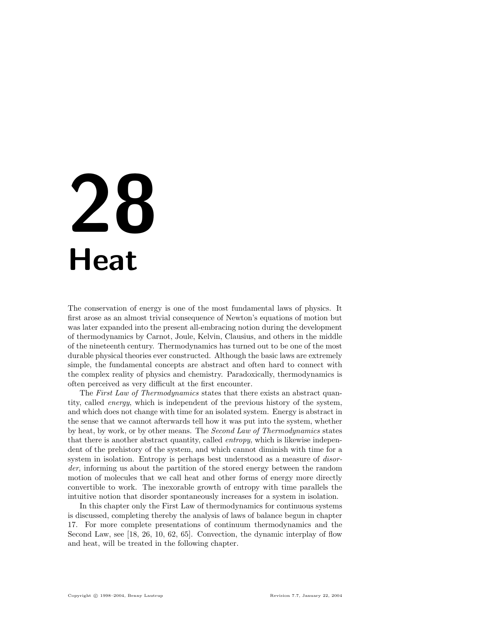# 28 **Heat**

The conservation of energy is one of the most fundamental laws of physics. It first arose as an almost trivial consequence of Newton's equations of motion but was later expanded into the present all-embracing notion during the development of thermodynamics by Carnot, Joule, Kelvin, Clausius, and others in the middle of the nineteenth century. Thermodynamics has turned out to be one of the most durable physical theories ever constructed. Although the basic laws are extremely simple, the fundamental concepts are abstract and often hard to connect with the complex reality of physics and chemistry. Paradoxically, thermodynamics is often perceived as very difficult at the first encounter.

The First Law of Thermodynamics states that there exists an abstract quantity, called energy, which is independent of the previous history of the system, and which does not change with time for an isolated system. Energy is abstract in the sense that we cannot afterwards tell how it was put into the system, whether by heat, by work, or by other means. The Second Law of Thermodynamics states that there is another abstract quantity, called entropy, which is likewise independent of the prehistory of the system, and which cannot diminish with time for a system in isolation. Entropy is perhaps best understood as a measure of *disor*der, informing us about the partition of the stored energy between the random motion of molecules that we call heat and other forms of energy more directly convertible to work. The inexorable growth of entropy with time parallels the intuitive notion that disorder spontaneously increases for a system in isolation.

In this chapter only the First Law of thermodynamics for continuous systems is discussed, completing thereby the analysis of laws of balance begun in chapter 17. For more complete presentations of continuum thermodynamics and the Second Law, see [18, 26, 10, 62, 65]. Convection, the dynamic interplay of flow and heat, will be treated in the following chapter.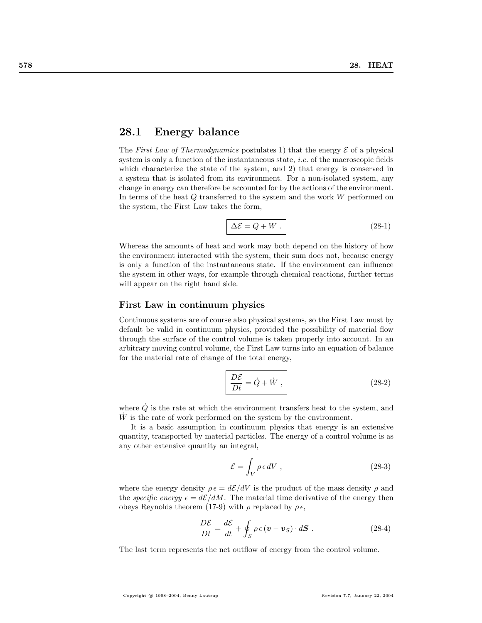# 28.1 Energy balance

The First Law of Thermodynamics postulates 1) that the energy  $\mathcal E$  of a physical system is only a function of the instantaneous state, *i.e.* of the macroscopic fields which characterize the state of the system, and 2) that energy is conserved in a system that is isolated from its environment. For a non-isolated system, any change in energy can therefore be accounted for by the actions of the environment. In terms of the heat Q transferred to the system and the work W performed on the system, the First Law takes the form,

$$
\Delta \mathcal{E} = Q + W \tag{28-1}
$$

Whereas the amounts of heat and work may both depend on the history of how the environment interacted with the system, their sum does not, because energy is only a function of the instantaneous state. If the environment can influence the system in other ways, for example through chemical reactions, further terms will appear on the right hand side.

### First Law in continuum physics

Continuous systems are of course also physical systems, so the First Law must by default be valid in continuum physics, provided the possibility of material flow through the surface of the control volume is taken properly into account. In an arbitrary moving control volume, the First Law turns into an equation of balance for the material rate of change of the total energy,

$$
\frac{D\mathcal{E}}{Dt} = \dot{Q} + \dot{W} , \qquad (28-2)
$$

where  $\dot{Q}$  is the rate at which the environment transfers heat to the system, and  $\dot{W}$  is the rate of work performed on the system by the environment.

It is a basic assumption in continuum physics that energy is an extensive quantity, transported by material particles. The energy of a control volume is as any other extensive quantity an integral,

$$
\mathcal{E} = \int_{V} \rho \epsilon \, dV \tag{28-3}
$$

where the energy density  $\rho \epsilon = d\mathcal{E}/dV$  is the product of the mass density  $\rho$  and the specific energy  $\epsilon = d\mathcal{E}/dM$ . The material time derivative of the energy then obeys Reynolds theorem (17-9) with  $\rho$  replaced by  $\rho \epsilon$ ,

$$
\frac{D\mathcal{E}}{Dt} = \frac{d\mathcal{E}}{dt} + \oint_{S} \rho \epsilon (\mathbf{v} - \mathbf{v}_{S}) \cdot d\mathbf{S} . \qquad (28-4)
$$

The last term represents the net outflow of energy from the control volume.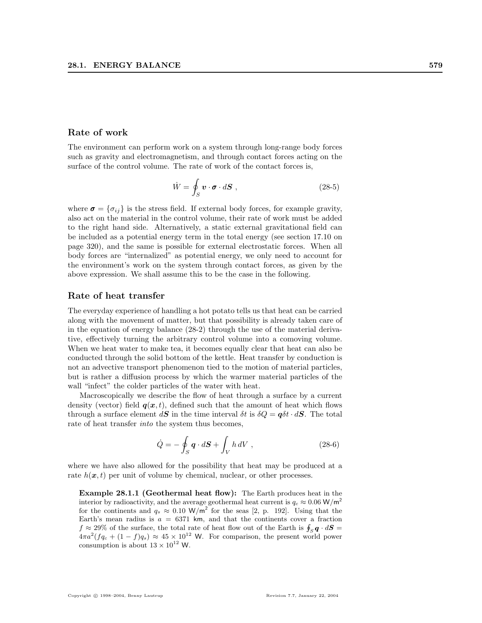### Rate of work

The environment can perform work on a system through long-range body forces such as gravity and electromagnetism, and through contact forces acting on the surface of the control volume. The rate of work of the contact forces is,

$$
\dot{W} = \oint_{S} \boldsymbol{v} \cdot \boldsymbol{\sigma} \cdot d\boldsymbol{S} , \qquad (28-5)
$$

where  $\sigma = \{\sigma_{ij}\}\$ is the stress field. If external body forces, for example gravity, also act on the material in the control volume, their rate of work must be added to the right hand side. Alternatively, a static external gravitational field can be included as a potential energy term in the total energy (see section 17.10 on page 320), and the same is possible for external electrostatic forces. When all body forces are "internalized" as potential energy, we only need to account for the environment's work on the system through contact forces, as given by the above expression. We shall assume this to be the case in the following.

### Rate of heat transfer

The everyday experience of handling a hot potato tells us that heat can be carried along with the movement of matter, but that possibility is already taken care of in the equation of energy balance (28-2) through the use of the material derivative, effectively turning the arbitrary control volume into a comoving volume. When we heat water to make tea, it becomes equally clear that heat can also be conducted through the solid bottom of the kettle. Heat transfer by conduction is not an advective transport phenomenon tied to the motion of material particles, but is rather a diffusion process by which the warmer material particles of the wall "infect" the colder particles of the water with heat.

Macroscopically we describe the flow of heat through a surface by a current density (vector) field  $q(x, t)$ , defined such that the amount of heat which flows through a surface element  $d\mathbf{S}$  in the time interval  $\delta t$  is  $\delta Q = \boldsymbol{q} \delta t \cdot d\mathbf{S}$ . The total rate of heat transfer into the system thus becomes,

$$
\dot{Q} = -\oint_{S} \boldsymbol{q} \cdot d\boldsymbol{S} + \int_{V} h \, dV \;, \tag{28-6}
$$

where we have also allowed for the possibility that heat may be produced at a rate  $h(x, t)$  per unit of volume by chemical, nuclear, or other processes.

Example 28.1.1 (Geothermal heat flow): The Earth produces heat in the interior by radioactivity, and the average geothermal heat current is  $q_c \approx 0.06 \text{ W/m}^2$ for the continents and  $q_s \approx 0.10 \text{ W/m}^2$  for the seas [2, p. 192]. Using that the Earth's mean radius is  $a = 6371$  km, and that the continents cover a fraction  $f \approx 29\%$  of the surface, the total rate of heat flow out of the Earth is  $\oint_S \mathbf{q} \cdot d\mathbf{S} =$  $4\pi a^2 (f q_c + (1-f) q_s) \approx 45 \times 10^{12}$  W. For comparison, the present world power consumption is about  $13\times 10^{12}$  W.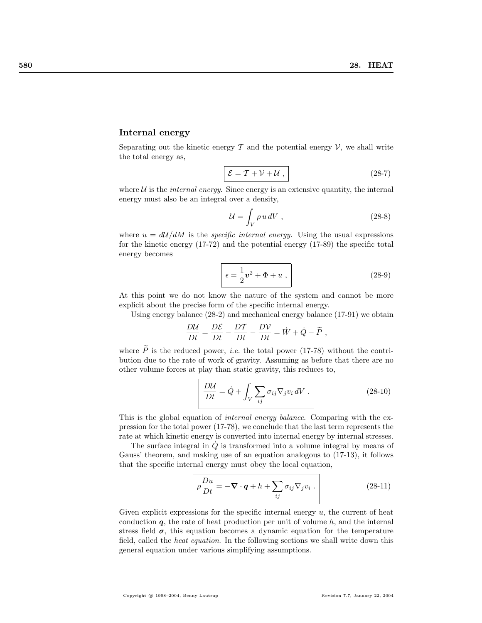### Internal energy

Separating out the kinetic energy  $\mathcal T$  and the potential energy  $\mathcal V$ , we shall write the total energy as,

$$
\mathcal{E} = \mathcal{T} + \mathcal{V} + \mathcal{U} \tag{28-7}
$$

where  $U$  is the *internal energy*. Since energy is an extensive quantity, the internal energy must also be an integral over a density,

$$
\mathcal{U} = \int_{V} \rho \, u \, dV \tag{28-8}
$$

where  $u = d\mathcal{U}/dM$  is the *specific internal energy*. Using the usual expressions for the kinetic energy (17-72) and the potential energy (17-89) the specific total energy becomes

$$
\epsilon = \frac{1}{2}\mathbf{v}^2 + \Phi + u \,,\tag{28-9}
$$

At this point we do not know the nature of the system and cannot be more explicit about the precise form of the specific internal energy.

Using energy balance (28-2) and mechanical energy balance (17-91) we obtain

$$
\frac{D\mathcal{U}}{Dt} = \frac{D\mathcal{E}}{Dt} - \frac{DT}{Dt} - \frac{DV}{Dt} = \dot{W} + \dot{Q} - \tilde{P},
$$

where  $\widetilde{P}$  is the reduced power, *i.e.* the total power (17-78) without the contribution due to the rate of work of gravity. Assuming as before that there are no other volume forces at play than static gravity, this reduces to,

$$
\frac{D\mathcal{U}}{Dt} = \dot{Q} + \int_{V} \sum_{ij} \sigma_{ij} \nabla_j v_i \, dV \tag{28-10}
$$

This is the global equation of internal energy balance. Comparing with the expression for the total power (17-78), we conclude that the last term represents the rate at which kinetic energy is converted into internal energy by internal stresses.

The surface integral in  $\dot{Q}$  is transformed into a volume integral by means of Gauss' theorem, and making use of an equation analogous to (17-13), it follows that the specific internal energy must obey the local equation,

$$
\rho \frac{Du}{Dt} = -\nabla \cdot \boldsymbol{q} + h + \sum_{ij} \sigma_{ij} \nabla_j v_i .
$$
\n(28-11)

Given explicit expressions for the specific internal energy  $u$ , the current of heat conduction  $q$ , the rate of heat production per unit of volume  $h$ , and the internal stress field  $\sigma$ , this equation becomes a dynamic equation for the temperature field, called the heat equation. In the following sections we shall write down this general equation under various simplifying assumptions.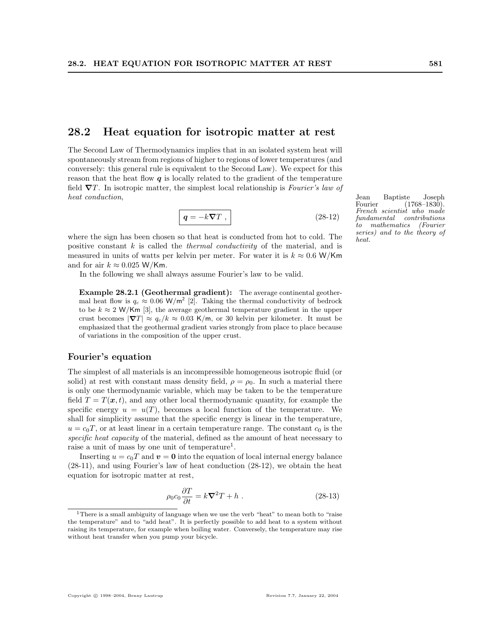# 28.2 Heat equation for isotropic matter at rest

The Second Law of Thermodynamics implies that in an isolated system heat will spontaneously stream from regions of higher to regions of lower temperatures (and conversely: this general rule is equivalent to the Second Law). We expect for this reason that the heat flow  $q$  is locally related to the gradient of the temperature field  $\nabla T$ . In isotropic matter, the simplest local relationship is Fourier's law of heat conduction,  $Jear$  Baptiste  $Joseph$ 

$$
\boxed{\mathbf{q} = -k\boldsymbol{\nabla}T \ ,} \tag{28-12}
$$

where the sign has been chosen so that heat is conducted from hot to cold. The positive constant  $k$  is called the *thermal conductivity* of the material, and is measured in units of watts per kelvin per meter. For water it is  $k \approx 0.6$  W/Km and for air  $k \approx 0.025$  W/Km.

In the following we shall always assume Fourier's law to be valid.

Example 28.2.1 (Geothermal gradient): The average continental geothermal heat flow is  $q_c \approx 0.06 \text{ W/m}^2$  [2]. Taking the thermal conductivity of bedrock to be  $k \approx 2$  W/Km [3], the average geothermal temperature gradient in the upper crust becomes  $|\nabla T| \approx q_c/k \approx 0.03$  K/m, or 30 kelvin per kilometer. It must be emphasized that the geothermal gradient varies strongly from place to place because of variations in the composition of the upper crust.

### Fourier's equation

The simplest of all materials is an incompressible homogeneous isotropic fluid (or solid) at rest with constant mass density field,  $\rho = \rho_0$ . In such a material there is only one thermodynamic variable, which may be taken to be the temperature field  $T = T(\mathbf{x}, t)$ , and any other local thermodynamic quantity, for example the specific energy  $u = u(T)$ , becomes a local function of the temperature. We shall for simplicity assume that the specific energy is linear in the temperature,  $u = c_0T$ , or at least linear in a certain temperature range. The constant  $c_0$  is the specific heat capacity of the material, defined as the amount of heat necessary to raise a unit of mass by one unit of temperature<sup>1</sup>.

Inserting  $u = c_0T$  and  $v = 0$  into the equation of local internal energy balance (28-11), and using Fourier's law of heat conduction (28-12), we obtain the heat equation for isotropic matter at rest,

$$
\rho_0 c_0 \frac{\partial T}{\partial t} = k \nabla^2 T + h \tag{28-13}
$$

Fourier (1768–1830). French scientist who made fundamental contributions to mathematics (Fourier series) and to the theory of heat.

<sup>&</sup>lt;sup>1</sup>There is a small ambiguity of language when we use the verb "heat" to mean both to "raise" the temperature" and to "add heat". It is perfectly possible to add heat to a system without raising its temperature, for example when boiling water. Conversely, the temperature may rise without heat transfer when you pump your bicycle.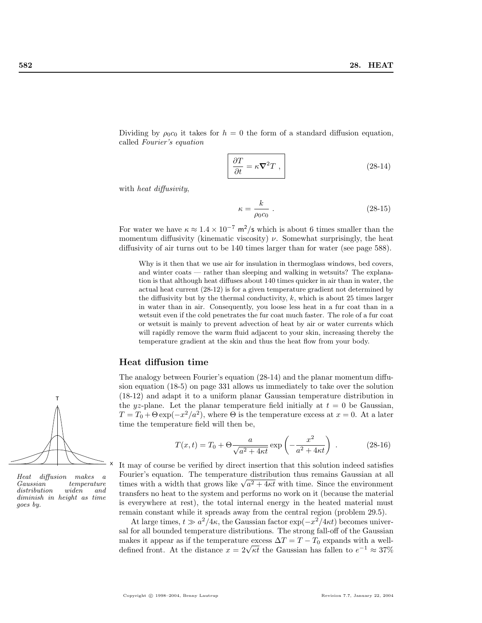Dividing by  $\rho_0 c_0$  it takes for  $h = 0$  the form of a standard diffusion equation, called Fourier's equation

$$
\frac{\partial T}{\partial t} = \kappa \nabla^2 T \;, \tag{28-14}
$$

with *heat diffusivity*,

$$
\kappa = \frac{k}{\rho_0 c_0} \ . \tag{28-15}
$$

For water we have  $\kappa \approx 1.4 \times 10^{-7}$  m<sup>2</sup>/s which is about 6 times smaller than the momentum diffusivity (kinematic viscosity)  $\nu$ . Somewhat surprisingly, the heat diffusivity of air turns out to be 140 times larger than for water (see page 588).

Why is it then that we use air for insulation in thermoglass windows, bed covers, and winter coats — rather than sleeping and walking in wetsuits? The explanation is that although heat diffuses about 140 times quicker in air than in water, the actual heat current (28-12) is for a given temperature gradient not determined by the diffusivity but by the thermal conductivity,  $k$ , which is about 25 times larger in water than in air. Consequently, you loose less heat in a fur coat than in a wetsuit even if the cold penetrates the fur coat much faster. The role of a fur coat or wetsuit is mainly to prevent advection of heat by air or water currents which will rapidly remove the warm fluid adjacent to your skin, increasing thereby the temperature gradient at the skin and thus the heat flow from your body.

### Heat diffusion time

The analogy between Fourier's equation (28-14) and the planar momentum diffusion equation (18-5) on page 331 allows us immediately to take over the solution (18-12) and adapt it to a uniform planar Gaussian temperature distribution in the yz-plane. Let the planar temperature field initially at  $t = 0$  be Gaussian,  $T = T_0 + \Theta \exp(-x^2/a^2)$ , where  $\Theta$  is the temperature excess at  $x = 0$ . At a later time the temperature field will then be,

$$
T(x,t) = T_0 + \Theta \frac{a}{\sqrt{a^2 + 4\kappa t}} \exp\left(-\frac{x^2}{a^2 + 4\kappa t}\right) .
$$
 (28-16)

It may of course be verified by direct insertion that this solution indeed satisfies Fourier's equation. The temperature distribution thus remains Gaussian at all Fourier's equation. The temperature distribution thus remains Gaussian at all times with a width that grows like  $\sqrt{a^2 + 4\kappa t}$  with time. Since the environment transfers no heat to the system and performs no work on it (because the material is everywhere at rest), the total internal energy in the heated material must remain constant while it spreads away from the central region (problem 29.5).

At large times,  $t \gg a^2/4\kappa$ , the Gaussian factor  $\exp(-x^2/4\kappa t)$  becomes universal for all bounded temperature distributions. The strong fall-off of the Gaussian makes it appear as if the temperature excess  $\Delta T = T - T_0$  expands with a wellmakes it appear as if the temperature excess  $\Delta T = T - T_0$  expands with a well-<br>defined front. At the distance  $x = 2\sqrt{\kappa t}$  the Gaussian has fallen to  $e^{-1} \approx 37\%$ 



Heat diffusion makes a  $temperature$ distribution widen and diminish in height as time goes by.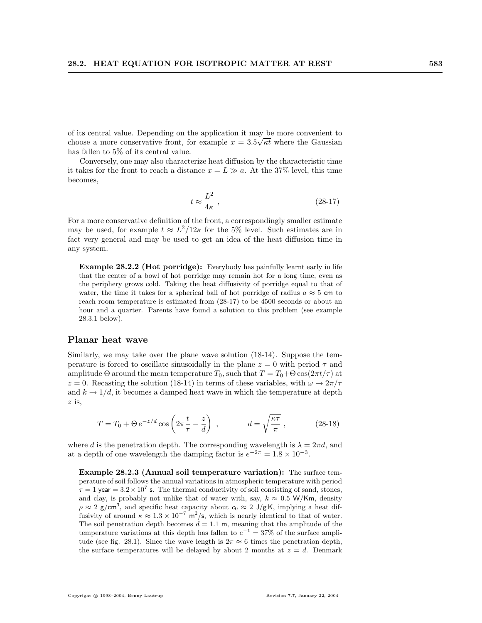of its central value. Depending on the application it may be more convenient to choose a more conservative front, for example  $x = 3.5\sqrt{\kappa t}$  where the Gaussian has fallen to 5% of its central value.

Conversely, one may also characterize heat diffusion by the characteristic time it takes for the front to reach a distance  $x = L \gg a$ . At the 37% level, this time becomes,

$$
t \approx \frac{L^2}{4\kappa} \;, \eqno(28-17)
$$

For a more conservative definition of the front, a correspondingly smaller estimate may be used, for example  $t \approx L^2/12\kappa$  for the 5% level. Such estimates are in fact very general and may be used to get an idea of the heat diffusion time in any system.

Example 28.2.2 (Hot porridge): Everybody has painfully learnt early in life that the center of a bowl of hot porridge may remain hot for a long time, even as the periphery grows cold. Taking the heat diffusivity of porridge equal to that of water, the time it takes for a spherical ball of hot porridge of radius  $a \approx 5$  cm to reach room temperature is estimated from (28-17) to be 4500 seconds or about an hour and a quarter. Parents have found a solution to this problem (see example 28.3.1 below).

### Planar heat wave

Similarly, we may take over the plane wave solution (18-14). Suppose the temperature is forced to oscillate sinusoidally in the plane  $z = 0$  with period  $\tau$  and amplitude  $\Theta$  around the mean temperature  $T_0$ , such that  $T = T_0 + \Theta \cos(2\pi t/\tau)$  at  $z = 0$ . Recasting the solution (18-14) in terms of these variables, with  $\omega \to 2\pi/\tau$ and  $k \to 1/d$ , it becomes a damped heat wave in which the temperature at depth z is,

$$
T = T_0 + \Theta e^{-z/d} \cos \left( 2\pi \frac{t}{\tau} - \frac{z}{d} \right) , \qquad d = \sqrt{\frac{\kappa \tau}{\pi}} , \qquad (28-18)
$$

where d is the penetration depth. The corresponding wavelength is  $\lambda = 2\pi d$ , and at a depth of one wavelength the damping factor is  $e^{-2\pi} = 1.8 \times 10^{-3}$ .

Example 28.2.3 (Annual soil temperature variation): The surface temperature of soil follows the annual variations in atmospheric temperature with period  $\tau = 1$  year =  $3.2 \times 10^7$  s. The thermal conductivity of soil consisting of sand, stones, and clay, is probably not unlike that of water with, say,  $k \approx 0.5$  W/Km, density  $\rho \approx 2$  g/cm<sup>3</sup>, and specific heat capacity about  $c_0 \approx 2$  J/gK, implying a heat diffusivity of around  $\kappa \approx 1.3 \times 10^{-7}$  m<sup>2</sup>/s, which is nearly identical to that of water. The soil penetration depth becomes  $d = 1.1$  m, meaning that the amplitude of the temperature variations at this depth has fallen to  $e^{-1} = 37\%$  of the surface amplitude (see fig. 28.1). Since the wave length is  $2\pi \approx 6$  times the penetration depth, the surface temperatures will be delayed by about 2 months at  $z = d$ . Denmark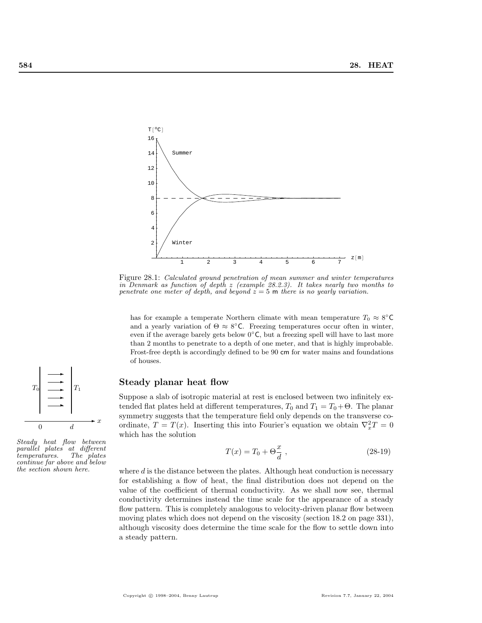

Figure 28.1: Calculated ground penetration of mean summer and winter temperatures in Denmark as function of depth z (example 28.2.3). It takes nearly two months to penetrate one meter of depth, and beyond  $z = 5$  m there is no yearly variation.

has for example a temperate Northern climate with mean temperature  $T_0 \approx 8^{\circ} \text{C}$ and a yearly variation of  $\Theta \approx 8^{\circ}$ C. Freezing temperatures occur often in winter, even if the average barely gets below  $0°C$ , but a freezing spell will have to last more than 2 months to penetrate to a depth of one meter, and that is highly improbable. Frost-free depth is accordingly defined to be 90 cm for water mains and foundations of houses.

### Steady planar heat flow

Suppose a slab of isotropic material at rest is enclosed between two infinitely extended flat plates held at different temperatures,  $T_0$  and  $T_1 = T_0 + \Theta$ . The planar symmetry suggests that the temperature field only depends on the transverse coordinate,  $T = T(x)$ . Inserting this into Fourier's equation we obtain  $\nabla_x^2 T = 0$ which has the solution

$$
T(x) = T_0 + \Theta \frac{x}{d} \t{,} \t(28-19)
$$

where  $d$  is the distance between the plates. Although heat conduction is necessary for establishing a flow of heat, the final distribution does not depend on the value of the coefficient of thermal conductivity. As we shall now see, thermal conductivity determines instead the time scale for the appearance of a steady flow pattern. This is completely analogous to velocity-driven planar flow between moving plates which does not depend on the viscosity (section 18.2 on page 331), although viscosity does determine the time scale for the flow to settle down into a steady pattern.



Steady heat flow between parallel plates at different temperatures. The plates continue far above and below the section shown here.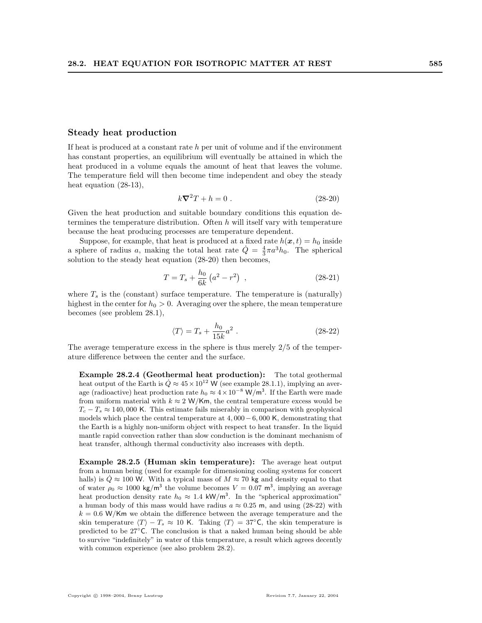### Steady heat production

If heat is produced at a constant rate  $h$  per unit of volume and if the environment has constant properties, an equilibrium will eventually be attained in which the heat produced in a volume equals the amount of heat that leaves the volume. The temperature field will then become time independent and obey the steady heat equation (28-13),

$$
k\boldsymbol{\nabla}^2 T + h = 0. \qquad (28-20)
$$

Given the heat production and suitable boundary conditions this equation determines the temperature distribution. Often  $h$  will itself vary with temperature because the heat producing processes are temperature dependent.

Suppose, for example, that heat is produced at a fixed rate  $h(x, t) = h_0$  inside a sphere of radius a, making the total heat rate  $\dot{Q} = \frac{4}{3}\pi a^3 h_0$ . The spherical solution to the steady heat equation (28-20) then becomes,

$$
T = T_s + \frac{h_0}{6k} \left( a^2 - r^2 \right) , \qquad (28-21)
$$

where  $T_s$  is the (constant) surface temperature. The temperature is (naturally) highest in the center for  $h_0 > 0$ . Averaging over the sphere, the mean temperature becomes (see problem 28.1),

$$
\langle T \rangle = T_s + \frac{h_0}{15k} a^2 \ . \tag{28-22}
$$

The average temperature excess in the sphere is thus merely  $2/5$  of the temperature difference between the center and the surface.

Example 28.2.4 (Geothermal heat production): The total geothermal heat output of the Earth is  $\dot{Q} \approx 45 \times 10^{12}$  W (see example 28.1.1), implying an average (radioactive) heat production rate  $h_0 \approx 4 \times 10^{-8}$  W/m<sup>3</sup>. If the Earth were made from uniform material with  $k \approx 2$  W/Km, the central temperature excess would be  $T_c - T_s \approx 140,000$  K. This estimate fails miserably in comparison with geophysical models which place the central temperature at  $4,000-6,000$  K, demonstrating that the Earth is a highly non-uniform object with respect to heat transfer. In the liquid mantle rapid convection rather than slow conduction is the dominant mechanism of heat transfer, although thermal conductivity also increases with depth.

Example 28.2.5 (Human skin temperature): The average heat output from a human being (used for example for dimensioning cooling systems for concert halls) is  $\dot{Q} \approx 100$  W. With a typical mass of  $M \approx 70$  kg and density equal to that of water  $\rho_0 \approx 1000 \text{ kg/m}^3$  the volume becomes  $V = 0.07 \text{ m}^3$ , implying an average heat production density rate  $h_0 \approx 1.4 \text{ kW/m}^3$ . In the "spherical approximation" a human body of this mass would have radius  $a \approx 0.25$  m, and using (28-22) with  $k = 0.6$  W/Km we obtain the difference between the average temperature and the skin temperature  $\langle T \rangle - T_s \approx 10$  K. Taking  $\langle T \rangle = 37°$ C, the skin temperature is predicted to be 27◦C. The conclusion is that a naked human being should be able to survive "indefinitely" in water of this temperature, a result which agrees decently with common experience (see also problem 28.2).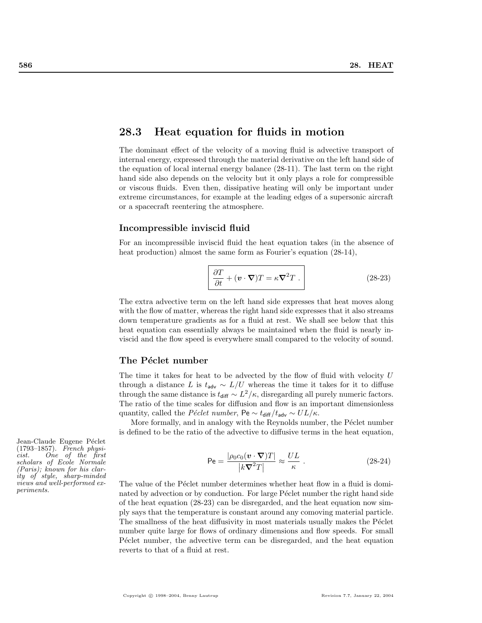# 28.3 Heat equation for fluids in motion

The dominant effect of the velocity of a moving fluid is advective transport of internal energy, expressed through the material derivative on the left hand side of the equation of local internal energy balance (28-11). The last term on the right hand side also depends on the velocity but it only plays a role for compressible or viscous fluids. Even then, dissipative heating will only be important under extreme circumstances, for example at the leading edges of a supersonic aircraft or a spacecraft reentering the atmosphere.

### Incompressible inviscid fluid

For an incompressible inviscid fluid the heat equation takes (in the absence of heat production) almost the same form as Fourier's equation  $(28-14)$ ,

$$
\frac{\partial T}{\partial t} + (\mathbf{v} \cdot \nabla) T = \kappa \nabla^2 T . \qquad (28-23)
$$

The extra advective term on the left hand side expresses that heat moves along with the flow of matter, whereas the right hand side expresses that it also streams down temperature gradients as for a fluid at rest. We shall see below that this heat equation can essentially always be maintained when the fluid is nearly inviscid and the flow speed is everywhere small compared to the velocity of sound.

### The Péclet number

The time it takes for heat to be advected by the flow of fluid with velocity U through a distance L is  $t_{adv} \sim L/U$  whereas the time it takes for it to diffuse through the same distance is  $t_{\text{diff}} \sim L^2/\kappa$ , disregarding all purely numeric factors. The ratio of the time scales for diffusion and flow is an important dimensionless quantity, called the *Péclet number*, Pe  $\sim t_{\text{diff}}/t_{\text{adv}} \sim UL/\kappa$ .

More formally, and in analogy with the Reynolds number, the Péclet number is defined to be the ratio of the advective to diffusive terms in the heat equation,

$$
\mathsf{Pe} = \frac{|\rho_0 c_0(\mathbf{v} \cdot \nabla) T|}{|k \nabla^2 T|} \approx \frac{UL}{\kappa} \ . \tag{28-24}
$$

The value of the Péclet number determines whether heat flow in a fluid is dominated by advection or by conduction. For large Péclet number the right hand side of the heat equation (28-23) can be disregarded, and the heat equation now simply says that the temperature is constant around any comoving material particle. The smallness of the heat diffusivity in most materials usually makes the Péclet number quite large for flows of ordinary dimensions and flow speeds. For small Péclet number, the advective term can be disregarded, and the heat equation reverts to that of a fluid at rest.

Jean-Claude Eugene Péclet (1793–1857). French physicist. One of the first scholars of Ecole Normale (Paris); known for his clarity of style, sharp-minded views and well-performed experiments.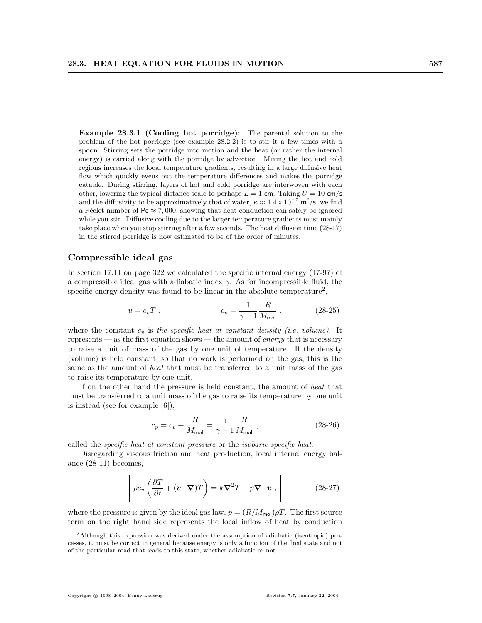Example 28.3.1 (Cooling hot porridge): The parental solution to the problem of the hot porridge (see example 28.2.2) is to stir it a few times with a spoon. Stirring sets the porridge into motion and the heat (or rather the internal energy) is carried along with the porridge by advection. Mixing the hot and cold regions increases the local temperature gradients, resulting in a large diffusive heat flow which quickly evens out the temperature differences and makes the porridge eatable. During stirring, layers of hot and cold porridge are interwoven with each other, lowering the typical distance scale to perhaps  $L = 1$  cm. Taking  $U = 10$  cm/s and the diffusivity to be approximatively that of water,  $\kappa \approx 1.4 \times 10^{-7}$  m<sup>2</sup>/s, we find a Péclet number of Pe  $\approx 7,000$ , showing that heat conduction can safely be ignored while you stir. Diffusive cooling due to the larger temperature gradients must mainly take place when you stop stirring after a few seconds. The heat diffusion time (28-17) in the stirred porridge is now estimated to be of the order of minutes.

### Compressible ideal gas

In section 17.11 on page 322 we calculated the specific internal energy (17-97) of a compressible ideal gas with adiabatic index  $\gamma$ . As for incompressible fluid, the specific energy density was found to be linear in the absolute temperature<sup>2</sup>,

$$
u = c_v T , \t\t c_v = \frac{1}{\gamma - 1} \frac{R}{M_{\text{mol}}}, \t\t (28-25)
$$

where the constant  $c_v$  is the specific heat at constant density (i.e. volume). It represents — as the first equation shows — the amount of *energy* that is necessary to raise a unit of mass of the gas by one unit of temperature. If the density (volume) is held constant, so that no work is performed on the gas, this is the same as the amount of heat that must be transferred to a unit mass of the gas to raise its temperature by one unit.

If on the other hand the pressure is held constant, the amount of heat that must be transferred to a unit mass of the gas to raise its temperature by one unit is instead (see for example [6]),

$$
c_p = c_v + \frac{R}{M_{\text{mol}}} = \frac{\gamma}{\gamma - 1} \frac{R}{M_{\text{mol}}},\qquad(28-26)
$$

called the specific heat at constant pressure or the isobaric specific heat.

Disregarding viscous friction and heat production, local internal energy balance (28-11) becomes,

$$
\rho c_v \left( \frac{\partial T}{\partial t} + (\mathbf{v} \cdot \nabla) T \right) = k \nabla^2 T - p \nabla \cdot \mathbf{v} , \qquad (28-27)
$$

where the pressure is given by the ideal gas law,  $p = (R/M_{\text{mol}})\rho T$ . The first source term on the right hand side represents the local inflow of heat by conduction

<sup>2</sup>Although this expression was derived under the assumption of adiabatic (isentropic) processes, it must be correct in general because energy is only a function of the final state and not of the particular road that leads to this state, whether adiabatic or not.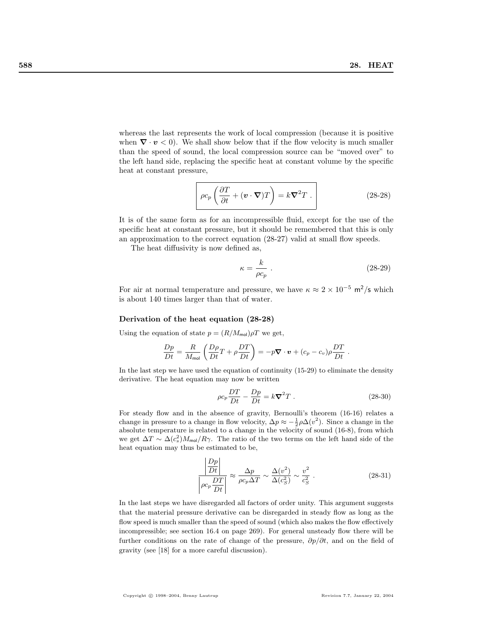whereas the last represents the work of local compression (because it is positive when  $\nabla \cdot \mathbf{v} < 0$ . We shall show below that if the flow velocity is much smaller than the speed of sound, the local compression source can be "moved over" to the left hand side, replacing the specific heat at constant volume by the specific heat at constant pressure,

$$
\rho c_p \left( \frac{\partial T}{\partial t} + (\mathbf{v} \cdot \nabla) T \right) = k \nabla^2 T . \qquad (28-28)
$$

It is of the same form as for an incompressible fluid, except for the use of the specific heat at constant pressure, but it should be remembered that this is only an approximation to the correct equation (28-27) valid at small flow speeds.

The heat diffusivity is now defined as,

$$
\kappa = \frac{k}{\rho c_p} \ . \tag{28-29}
$$

For air at normal temperature and pressure, we have  $\kappa \approx 2 \times 10^{-5}$  m<sup>2</sup>/s which is about 140 times larger than that of water.

### Derivation of the heat equation (28-28)

Using the equation of state  $p = (R/M_{\text{mol}})\rho T$  we get,

$$
\frac{Dp}{Dt} = \frac{R}{M_{\text{mol}}} \left( \frac{D\rho}{Dt} T + \rho \frac{DT}{Dt} \right) = -p \nabla \cdot \boldsymbol{v} + (c_p - c_v) \rho \frac{DT}{Dt} .
$$

In the last step we have used the equation of continuity (15-29) to eliminate the density derivative. The heat equation may now be written

$$
\rho c_p \frac{DT}{Dt} - \frac{Dp}{Dt} = k \nabla^2 T \ . \tag{28-30}
$$

For steady flow and in the absence of gravity, Bernoulli's theorem (16-16) relates a change in pressure to a change in flow velocity,  $\Delta p \approx -\frac{1}{2}\rho \Delta(v^2)$ . Since a change in the absolute temperature is related to a change in the velocity of sound (16-8), from which we get  $\Delta T \sim \Delta(c_s^2) M_{\text{mol}}/R\gamma$ . The ratio of the two terms on the left hand side of the heat equation may thus be estimated to be,

$$
\frac{\left|\frac{Dp}{Dt}\right|}{\left|\rho c_p \frac{DT}{Dt}\right|} \approx \frac{\Delta p}{\rho c_p \Delta T} \sim \frac{\Delta(v^2)}{\Delta(c_S^2)} \sim \frac{v^2}{c_S^2} \,. \tag{28-31}
$$

In the last steps we have disregarded all factors of order unity. This argument suggests that the material pressure derivative can be disregarded in steady flow as long as the flow speed is much smaller than the speed of sound (which also makes the flow effectively incompressible; see section 16.4 on page 269). For general unsteady flow there will be further conditions on the rate of change of the pressure,  $\partial p/\partial t$ , and on the field of gravity (see [18] for a more careful discussion).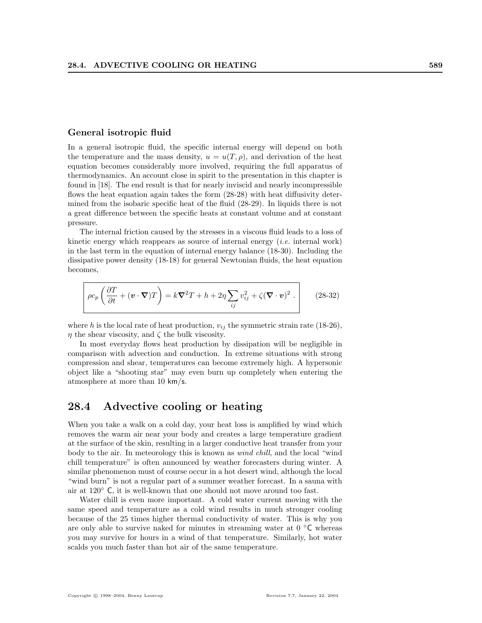### General isotropic fluid

In a general isotropic fluid, the specific internal energy will depend on both the temperature and the mass density,  $u = u(T, \rho)$ , and derivation of the heat equation becomes considerably more involved, requiring the full apparatus of thermodynamics. An account close in spirit to the presentation in this chapter is found in [18]. The end result is that for nearly inviscid and nearly incompressible flows the heat equation again takes the form  $(28-28)$  with heat diffusivity determined from the isobaric specific heat of the fluid (28-29). In liquids there is not a great difference between the specific heats at constant volume and at constant pressure.

The internal friction caused by the stresses in a viscous fluid leads to a loss of kinetic energy which reappears as source of internal energy (*i.e.* internal work) in the last term in the equation of internal energy balance (18-30). Including the dissipative power density (18-18) for general Newtonian fluids, the heat equation becomes,

$$
\rho c_p \left( \frac{\partial T}{\partial t} + (\mathbf{v} \cdot \nabla) T \right) = k \nabla^2 T + h + 2 \eta \sum_{ij} v_{ij}^2 + \zeta (\nabla \cdot \mathbf{v})^2 . \qquad (28-32)
$$

where h is the local rate of heat production,  $v_{ij}$  the symmetric strain rate (18-26),  $\eta$  the shear viscosity, and  $\zeta$  the bulk viscosity.

In most everyday flows heat production by dissipation will be negligible in comparison with advection and conduction. In extreme situations with strong compression and shear, temperatures can become extremely high. A hypersonic object like a "shooting star" may even burn up completely when entering the atmosphere at more than 10 km/s.

# 28.4 Advective cooling or heating

When you take a walk on a cold day, your heat loss is amplified by wind which removes the warm air near your body and creates a large temperature gradient at the surface of the skin, resulting in a larger conductive heat transfer from your body to the air. In meteorology this is known as wind chill, and the local "wind chill temperature" is often announced by weather forecasters during winter. A similar phenomenon must of course occur in a hot desert wind, although the local "wind burn" is not a regular part of a summer weather forecast. In a sauna with air at 120◦ C, it is well-known that one should not move around too fast.

Water chill is even more important. A cold water current moving with the same speed and temperature as a cold wind results in much stronger cooling because of the 25 times higher thermal conductivity of water. This is why you are only able to survive naked for minutes in streaming water at  $0 °C$  whereas you may survive for hours in a wind of that temperature. Similarly, hot water scalds you much faster than hot air of the same temperature.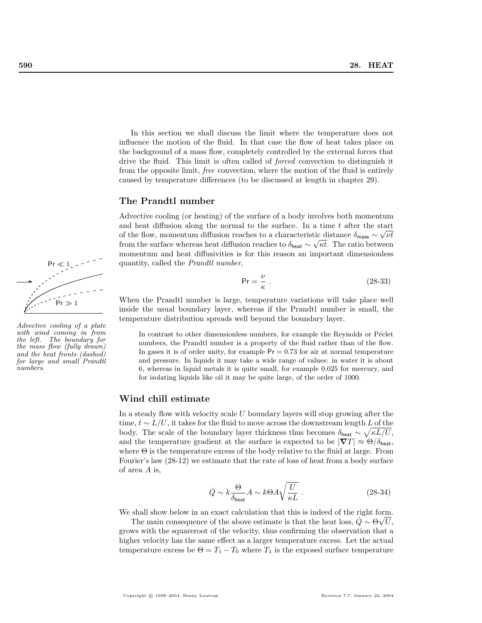In this section we shall discuss the limit where the temperature does not influence the motion of the fluid. In that case the flow of heat takes place on the background of a mass flow, completely controlled by the external forces that drive the fluid. This limit is often called of forced convection to distinguish it from the opposite limit, free convection, where the motion of the fluid is entirely caused by temperature differences (to be discussed at length in chapter 29).

### The Prandtl number

Advective cooling (or heating) of the surface of a body involves both momentum and heat diffusion along the normal to the surface. In a time  $t$  after the start of the flow, momentum diffusion reaches to a characteristic distance  $\delta_{\text{mass}} \sim \sqrt{\nu t}$ from the surface whereas heat diffusion reaches to  $\delta_{\text{heat}} \sim \sqrt{\kappa t}$ . The ratio between momentum and heat diffusivities is for this reason an important dimensionless quantity, called the Prandtl number,

$$
\Pr = \frac{\nu}{\kappa} \tag{28-33}
$$

When the Prandtl number is large, temperature variations will take place well inside the usual boundary layer, whereas if the Prandtl number is small, the temperature distribution spreads well beyond the boundary layer.

In contrast to other dimensionless numbers, for example the Reynolds or Péclet numbers, the Prandtl number is a property of the fluid rather than of the flow. In gases it is of order unity, for example  $Pr = 0.73$  for air at normal temperature and pressure. In liquids it may take a wide range of values: in water it is about 6, whereas in liquid metals it is quite small, for example 0.025 for mercury, and for isolating liquids like oil it may be quite large, of the order of 1000.

### Wind chill estimate

In a steady flow with velocity scale U boundary layers will stop growing after the time,  $t \sim L/U$ , it takes for the fluid to move across the downstream length  $L$  of the body. The scale of the boundary layer thickness thus becomes  $\delta_{\text{heat}} \sim \sqrt{\kappa L/U}$ , and the temperature gradient at the surface is expected to be  $|\nabla T| \approx \Theta/\delta_{\text{heat}}$ , where  $\Theta$  is the temperature excess of the body relative to the fluid at large. From Fourier's law (28-12) we estimate that the rate of loss of heat from a body surface of area A is,

$$
\dot{Q} \sim k \frac{\Theta}{\delta_{\text{heat}}} A \sim k \Theta A \sqrt{\frac{U}{\kappa L}} \ . \eqno{(28-34)}
$$

We shall show below in an exact calculation that this is indeed of the right form.

The main consequence of the above estimate is that the heat loss,  $\ddot{Q} \sim \Theta \sqrt{U}$ , grows with the squareroot of the velocity, thus confirming the observation that a higher velocity has the same effect as a larger temperature excess. Let the actual temperature excess be  $\Theta = T_1 - T_0$  where  $T_1$  is the exposed surface temperature



Advective cooling of a plate with wind coming in from the left. The boundary for the mass flow (fully drawn) and the heat fronts (dashed) for large and small Prandtl numbers.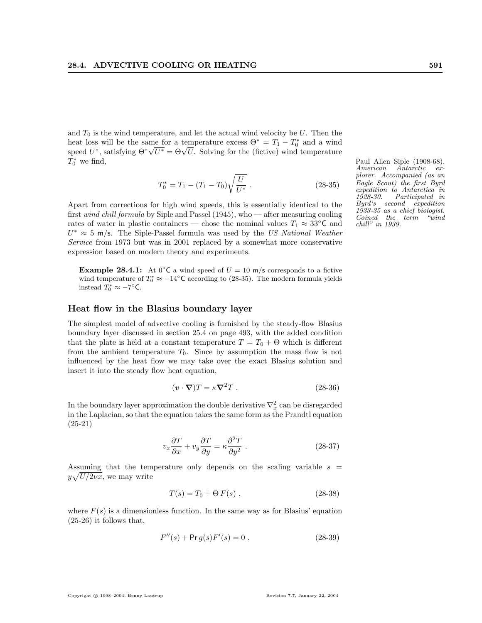and  $T_0$  is the wind temperature, and let the actual wind velocity be U. Then the heat loss will be the same for a temperature excess  $\Theta^* = T_1 - T_0^*$  and a wind heat loss will be the same for a temperature excess  $\Theta^* = T_1 - T_0$  and a wind<br>speed  $U^*$ , satisfying  $\Theta^* \sqrt{U^*} = \Theta \sqrt{U}$ . Solving for the (fictive) wind temperature  $T_0^*$ 

$$
T_0^* = T_1 - (T_1 - T_0) \sqrt{\frac{U}{U^*}}.
$$
\n(28-35)

Apart from corrections for high wind speeds, this is essentially identical to the first wind chill formula by Siple and Passel (1945), who — after measuring cooling rates of water in plastic containers — chose the nominal values  $T_1 \approx 33^{\circ}$ C and  $U^* \approx 5$  m/s. The Siple-Passel formula was used by the US National Weather Service from 1973 but was in 2001 replaced by a somewhat more conservative expression based on modern theory and experiments.

**Example 28.4.1:** At  $0^{\circ}$ C a wind speed of  $U = 10$  m/s corresponds to a fictive wind temperature of  $T_0^* \approx -14^{\circ}$ C according to (28-35). The modern formula yields instead  $T_0^* \approx -7^\circ \text{C}$ .

### Heat flow in the Blasius boundary layer

The simplest model of advective cooling is furnished by the steady-flow Blasius boundary layer discussed in section 25.4 on page 493, with the added condition that the plate is held at a constant temperature  $T = T_0 + \Theta$  which is different from the ambient temperature  $T_0$ . Since by assumption the mass flow is not influenced by the heat flow we may take over the exact Blasius solution and insert it into the steady flow heat equation,

$$
(\mathbf{v} \cdot \nabla)T = \kappa \nabla^2 T \ . \tag{28-36}
$$

In the boundary layer approximation the double derivative  $\nabla_x^2$  can be disregarded in the Laplacian, so that the equation takes the same form as the Prandtl equation (25-21)

$$
v_x \frac{\partial T}{\partial x} + v_y \frac{\partial T}{\partial y} = \kappa \frac{\partial^2 T}{\partial y^2} . \tag{28-37}
$$

Assuming that the temperature only depends on the scaling variable  $s =$  $y\sqrt{U/2\nu x}$ , we may write

$$
T(s) = T_0 + \Theta F(s) , \qquad (28-38)
$$

where  $F(s)$  is a dimensionless function. In the same way as for Blasius' equation (25-26) it follows that,

$$
F''(s) + \Pr g(s) F'(s) = 0 , \qquad (28-39)
$$

Paul Allen Siple (1908-68). American Antarctic explorer. Accompanied (as an Eagle Scout) the first Byrd expedition to Antarctica in 1928-30. Participated in Byrd's second expedition 1933-35 as a chief biologist. Coined the term "wind chill" in 1939.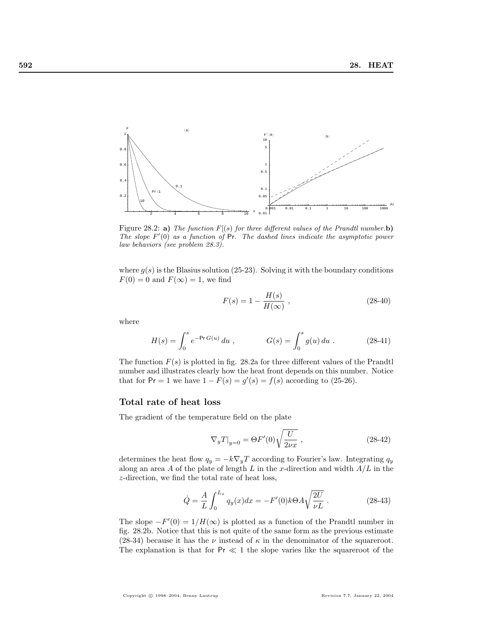

Figure 28.2: a) The function  $F[(s)]$  for three different values of the Prandtl number.b) The slope  $F'(0)$  as a function of  $Pr$ . The dashed lines indicate the asymptotic power law behaviors (see problem 28.3).

where  $g(s)$  is the Blasius solution (25-23). Solving it with the boundary conditions  $F(0) = 0$  and  $F(\infty) = 1$ , we find

$$
F(s) = 1 - \frac{H(s)}{H(\infty)},
$$
\n(28-40)

where

$$
H(s) = \int_0^s e^{-\Pr G(u)} du , \qquad G(s) = \int_0^s g(u) du . \qquad (28-41)
$$

The function  $F(s)$  is plotted in fig. 28.2a for three different values of the Prandtl number and illustrates clearly how the heat front depends on this number. Notice that for  $Pr = 1$  we have  $1 - F(s) = g'(s) = f(s)$  according to (25-26).

### Total rate of heat loss

The gradient of the temperature field on the plate

$$
\nabla_y T|_{y=0} = \Theta F'(0) \sqrt{\frac{U}{2\nu x}} \ , \eqno(28-42)
$$

determines the heat flow  $q_y = -k\nabla_y T$  according to Fourier's law. Integrating  $q_y$ along an area A of the plate of length L in the x-direction and width  $A/L$  in the z-direction, we find the total rate of heat loss,

$$
\dot{Q} = \frac{A}{L} \int_0^{L_x} q_y(x) dx = -F'(0)k\Theta A \sqrt{\frac{2U}{\nu L}}.
$$
 (28-43)

The slope  $-F'(0) = 1/H(\infty)$  is plotted as a function of the Prandtl number in fig. 28.2b. Notice that this is not quite of the same form as the previous estimate (28-34) because it has the  $\nu$  instead of  $\kappa$  in the denominator of the squareroot. The explanation is that for  $Pr \ll 1$  the slope varies like the squareroot of the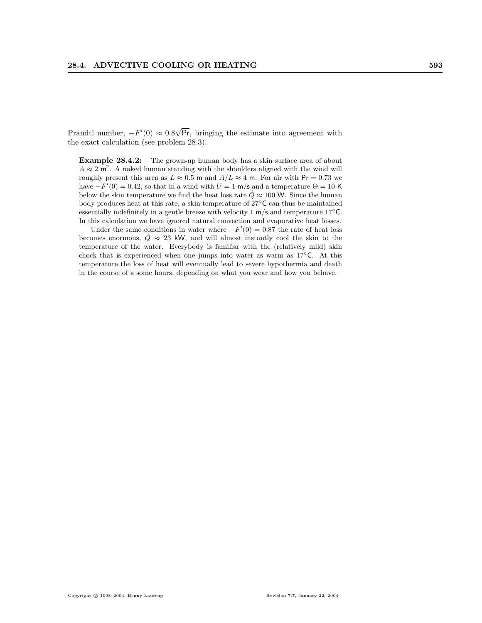Prandtl number,  $-F'(0) \approx 0.8$ √ Pr, bringing the estimate into agreement with the exact calculation (see problem 28.3).

Example 28.4.2: The grown-up human body has a skin surface area of about  $A \approx 2$  m<sup>2</sup>. A naked human standing with the shoulders aligned with the wind will roughly present this area as  $L \approx 0.5$  m and  $A/L \approx 4$  m. For air with Pr = 0.73 we have  $-F'(0) = 0.42$ , so that in a wind with  $U = 1$  m/s and a temperature  $\Theta = 10$  K below the skin temperature we find the heat loss rate  $\dot{Q} \approx 100$  W. Since the human body produces heat at this rate, a skin temperature of 27◦C can thus be maintained essentially indefinitely in a gentle breeze with velocity 1 m/s and temperature 17◦C. In this calculation we have ignored natural convection and evaporative heat losses.

Under the same conditions in water where  $-F'(0) = 0.87$  the rate of heat loss becomes enormous,  $\dot{Q} \approx 23$  kW, and will almost instantly cool the skin to the temperature of the water. Everybody is familiar with the (relatively mild) skin chock that is experienced when one jumps into water as warm as  $17^{\circ}$ C. At this temperature the loss of heat will eventually lead to severe hypothermia and death in the course of a some hours, depending on what you wear and how you behave.